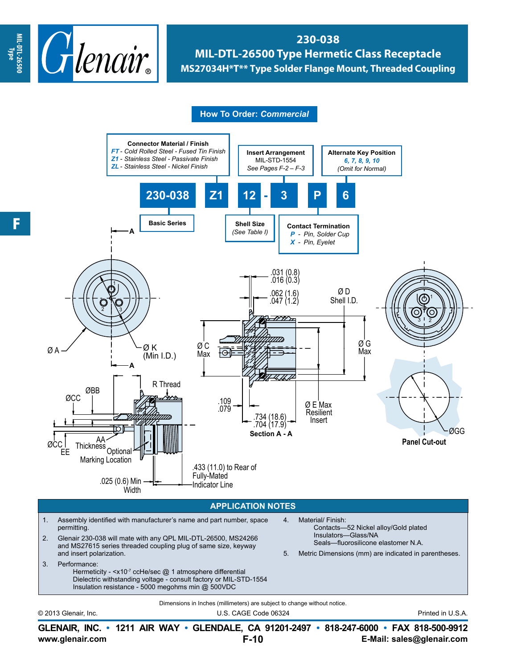

**230-038 MIL-DTL-26500 Type Hermetic Class Receptacle MS27034H\*T\*\* Type Solder Flange Mount, Threaded Coupling**

## **How To Order:** *Commercial*



© 2013 Glenair, Inc. U.S. CAGE Code 06324 Printed in U.S.A.

**www.glenair.com E-Mail: sales@glenair.com GLENAIR, INC. • 1211 AIR WAY • GLENDALE, CA 91201-2497 • 818-247-6000 • FAX 818-500-9912 F-10**